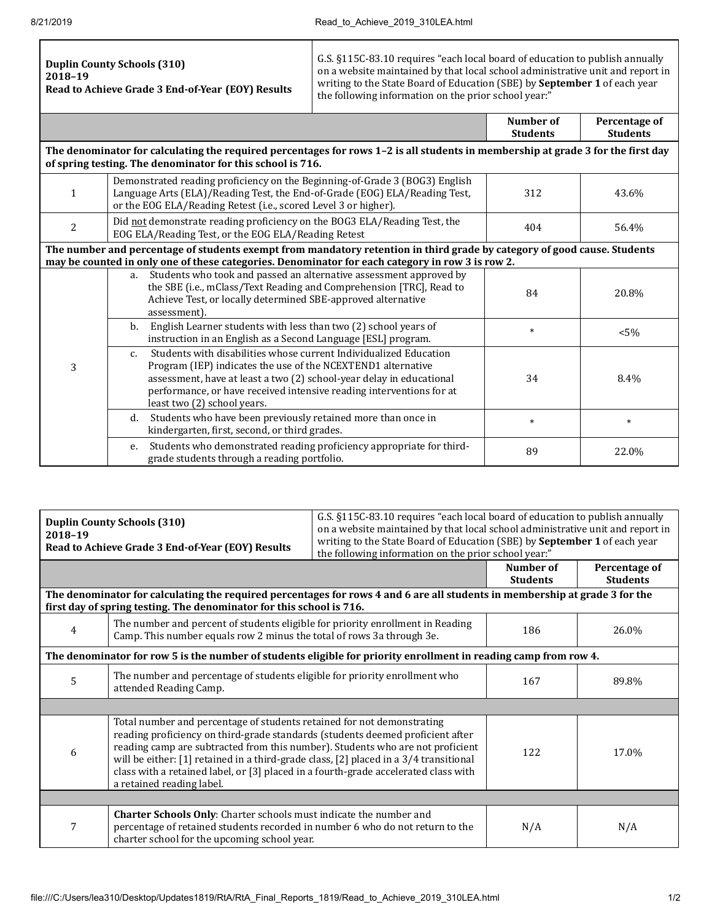$\Gamma$ 

|--|

Τ

|                                                                                                                                                                                                                              |                                                                                                                                                                                                                                                                                                                                    | <b>Number of</b><br><b>Students</b> | Percentage of<br><b>Students</b> |  |  |  |
|------------------------------------------------------------------------------------------------------------------------------------------------------------------------------------------------------------------------------|------------------------------------------------------------------------------------------------------------------------------------------------------------------------------------------------------------------------------------------------------------------------------------------------------------------------------------|-------------------------------------|----------------------------------|--|--|--|
| The denominator for calculating the required percentages for rows 1-2 is all students in membership at grade 3 for the first day<br>of spring testing. The denominator for this school is 716.                               |                                                                                                                                                                                                                                                                                                                                    |                                     |                                  |  |  |  |
| $\mathbf{1}$                                                                                                                                                                                                                 | Demonstrated reading proficiency on the Beginning-of-Grade 3 (BOG3) English<br>Language Arts (ELA)/Reading Test, the End-of-Grade (EOG) ELA/Reading Test,<br>or the EOG ELA/Reading Retest (i.e., scored Level 3 or higher).                                                                                                       | 312                                 | 43.6%                            |  |  |  |
| $\overline{c}$                                                                                                                                                                                                               | Did not demonstrate reading proficiency on the BOG3 ELA/Reading Test, the<br>EOG ELA/Reading Test, or the EOG ELA/Reading Retest                                                                                                                                                                                                   | 404                                 | 56.4%                            |  |  |  |
| The number and percentage of students exempt from mandatory retention in third grade by category of good cause. Students<br>may be counted in only one of these categories. Denominator for each category in row 3 is row 2. |                                                                                                                                                                                                                                                                                                                                    |                                     |                                  |  |  |  |
| 3                                                                                                                                                                                                                            | Students who took and passed an alternative assessment approved by<br>a.<br>the SBE (i.e., mClass/Text Reading and Comprehension [TRC], Read to<br>Achieve Test, or locally determined SBE-approved alternative<br>assessment).                                                                                                    | 84                                  | 20.8%                            |  |  |  |
|                                                                                                                                                                                                                              | English Learner students with less than two (2) school years of<br>b.<br>instruction in an English as a Second Language [ESL] program.                                                                                                                                                                                             | $\ast$                              | $< 5\%$                          |  |  |  |
|                                                                                                                                                                                                                              | Students with disabilities whose current Individualized Education<br>$\mathsf{C}$ .<br>Program (IEP) indicates the use of the NCEXTEND1 alternative<br>assessment, have at least a two (2) school-year delay in educational<br>performance, or have received intensive reading interventions for at<br>least two (2) school years. | 34                                  | 8.4%                             |  |  |  |
|                                                                                                                                                                                                                              | d. Students who have been previously retained more than once in<br>kindergarten, first, second, or third grades.                                                                                                                                                                                                                   | $\ast$                              | $\ast$                           |  |  |  |
|                                                                                                                                                                                                                              | e. Students who demonstrated reading proficiency appropriate for third-<br>grade students through a reading portfolio.                                                                                                                                                                                                             | 89                                  | 22.0%                            |  |  |  |

| <b>Duplin County Schools (310)</b><br>2018-19<br>Read to Achieve Grade 3 End-of-Year (EOY) Results                                                                                                  |                                                                                                                                                                                                                                                                                                                                                                                                                                                         | G.S. §115C-83.10 requires "each local board of education to publish annually<br>on a website maintained by that local school administrative unit and report in<br>writing to the State Board of Education (SBE) by September 1 of each year<br>the following information on the prior school year:" |                              |                                  |  |  |
|-----------------------------------------------------------------------------------------------------------------------------------------------------------------------------------------------------|---------------------------------------------------------------------------------------------------------------------------------------------------------------------------------------------------------------------------------------------------------------------------------------------------------------------------------------------------------------------------------------------------------------------------------------------------------|-----------------------------------------------------------------------------------------------------------------------------------------------------------------------------------------------------------------------------------------------------------------------------------------------------|------------------------------|----------------------------------|--|--|
|                                                                                                                                                                                                     |                                                                                                                                                                                                                                                                                                                                                                                                                                                         |                                                                                                                                                                                                                                                                                                     | Number of<br><b>Students</b> | Percentage of<br><b>Students</b> |  |  |
| The denominator for calculating the required percentages for rows 4 and 6 are all students in membership at grade 3 for the<br>first day of spring testing. The denominator for this school is 716. |                                                                                                                                                                                                                                                                                                                                                                                                                                                         |                                                                                                                                                                                                                                                                                                     |                              |                                  |  |  |
| 4                                                                                                                                                                                                   | The number and percent of students eligible for priority enrollment in Reading<br>Camp. This number equals row 2 minus the total of rows 3a through 3e.                                                                                                                                                                                                                                                                                                 |                                                                                                                                                                                                                                                                                                     | 186                          | 26.0%                            |  |  |
| The denominator for row 5 is the number of students eligible for priority enrollment in reading camp from row 4.                                                                                    |                                                                                                                                                                                                                                                                                                                                                                                                                                                         |                                                                                                                                                                                                                                                                                                     |                              |                                  |  |  |
| 5                                                                                                                                                                                                   | The number and percentage of students eligible for priority enrollment who<br>attended Reading Camp.                                                                                                                                                                                                                                                                                                                                                    |                                                                                                                                                                                                                                                                                                     | 167                          | 89.8%                            |  |  |
|                                                                                                                                                                                                     |                                                                                                                                                                                                                                                                                                                                                                                                                                                         |                                                                                                                                                                                                                                                                                                     |                              |                                  |  |  |
| 6                                                                                                                                                                                                   | Total number and percentage of students retained for not demonstrating<br>reading proficiency on third-grade standards (students deemed proficient after<br>reading camp are subtracted from this number). Students who are not proficient<br>will be either: [1] retained in a third-grade class, [2] placed in a 3/4 transitional<br>class with a retained label, or [3] placed in a fourth-grade accelerated class with<br>a retained reading label. |                                                                                                                                                                                                                                                                                                     | 122                          | 17.0%                            |  |  |
|                                                                                                                                                                                                     |                                                                                                                                                                                                                                                                                                                                                                                                                                                         |                                                                                                                                                                                                                                                                                                     |                              |                                  |  |  |
| 7                                                                                                                                                                                                   | Charter Schools Only: Charter schools must indicate the number and<br>percentage of retained students recorded in number 6 who do not return to the<br>charter school for the upcoming school year.                                                                                                                                                                                                                                                     |                                                                                                                                                                                                                                                                                                     | N/A                          | N/A                              |  |  |